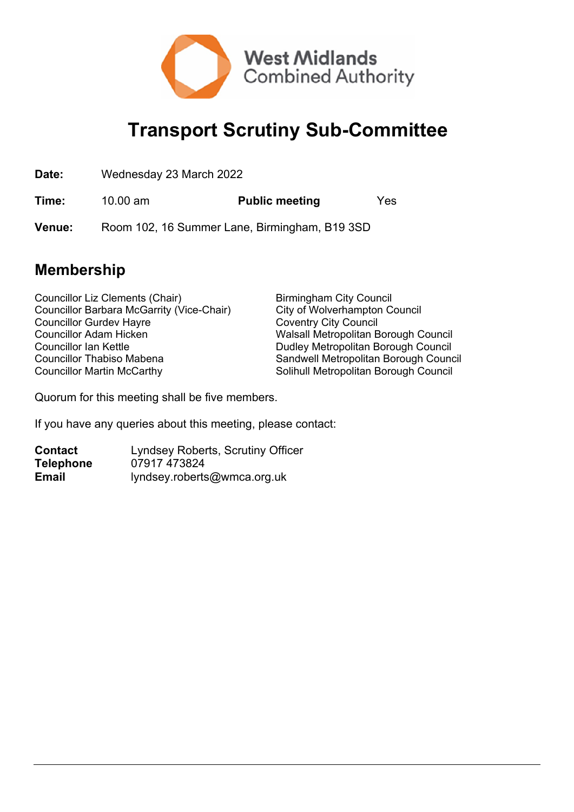

## **Transport Scrutiny Sub-Committee**

| Date:         | Wednesday 23 March 2022                       |                       |     |  |
|---------------|-----------------------------------------------|-----------------------|-----|--|
| Time:         | 10.00 $\text{am}$                             | <b>Public meeting</b> | Yes |  |
| <b>Venue:</b> | Room 102, 16 Summer Lane, Birmingham, B19 3SD |                       |     |  |

## **Membership**

Councillor Liz Clements (Chair) Birmingham City Council Councillor Barbara McGarrity (Vice-Chair) City of Wolverhampton Council Councillor Gurdev Hayre Coventry City Council Councillor Adam Hicken Walsall Metropolitan Borough Council Councillor Ian Kettle Dudley Metropolitan Borough Council Councillor Thabiso Mabena Sandwell Metropolitan Borough Council Councillor Martin McCarthy **Solinull Metropolitan Borough Council** 

Quorum for this meeting shall be five members.

If you have any queries about this meeting, please contact:

| <b>Contact</b>   | <b>Lyndsey Roberts, Scrutiny Officer</b> |
|------------------|------------------------------------------|
| <b>Telephone</b> | 07917 473824                             |
| Email            | lyndsey.roberts@wmca.org.uk              |